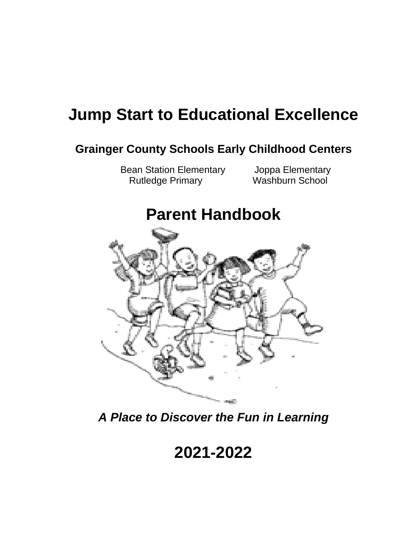# **Jump Start to Educational Excellence**

# **Grainger County Schools Early Childhood Centers**

Bean Station Elementary Joppa Elementary Rutledge Primary Washburn School

# **Parent Handbook**



*A Place to Discover the Fun in Learning*

# **2021-2022**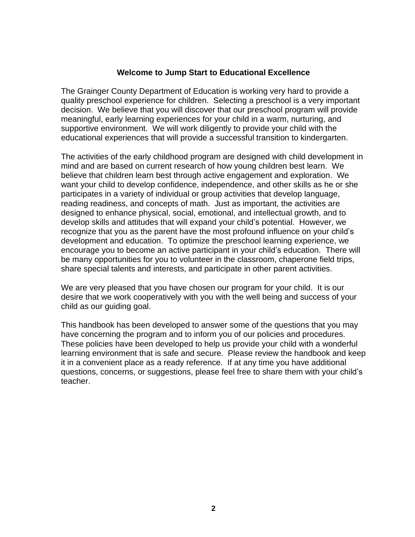#### **Welcome to Jump Start to Educational Excellence**

The Grainger County Department of Education is working very hard to provide a quality preschool experience for children. Selecting a preschool is a very important decision. We believe that you will discover that our preschool program will provide meaningful, early learning experiences for your child in a warm, nurturing, and supportive environment. We will work diligently to provide your child with the educational experiences that will provide a successful transition to kindergarten.

The activities of the early childhood program are designed with child development in mind and are based on current research of how young children best learn. We believe that children learn best through active engagement and exploration. We want your child to develop confidence, independence, and other skills as he or she participates in a variety of individual or group activities that develop language, reading readiness, and concepts of math. Just as important, the activities are designed to enhance physical, social, emotional, and intellectual growth, and to develop skills and attitudes that will expand your child's potential. However, we recognize that you as the parent have the most profound influence on your child's development and education. To optimize the preschool learning experience, we encourage you to become an active participant in your child's education. There will be many opportunities for you to volunteer in the classroom, chaperone field trips, share special talents and interests, and participate in other parent activities.

We are very pleased that you have chosen our program for your child. It is our desire that we work cooperatively with you with the well being and success of your child as our guiding goal.

This handbook has been developed to answer some of the questions that you may have concerning the program and to inform you of our policies and procedures. These policies have been developed to help us provide your child with a wonderful learning environment that is safe and secure. Please review the handbook and keep it in a convenient place as a ready reference. If at any time you have additional questions, concerns, or suggestions, please feel free to share them with your child's teacher.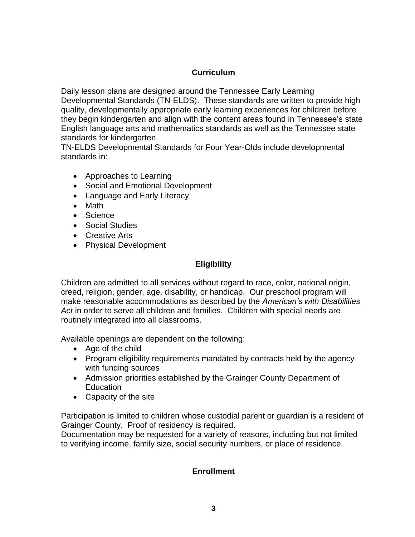# **Curriculum**

Daily lesson plans are designed around the Tennessee Early Learning Developmental Standards (TN-ELDS). These standards are written to provide high quality, developmentally appropriate early learning experiences for children before they begin kindergarten and align with the content areas found in Tennessee's state English language arts and mathematics standards as well as the Tennessee state standards for kindergarten.

TN-ELDS Developmental Standards for Four Year-Olds include developmental standards in:

- Approaches to Learning
- Social and Emotional Development
- Language and Early Literacy
- Math
- Science
- Social Studies
- Creative Arts
- Physical Development

# **Eligibility**

Children are admitted to all services without regard to race, color, national origin, creed, religion, gender, age, disability, or handicap. Our preschool program will make reasonable accommodations as described by the *American's with Disabilities Act* in order to serve all children and families. Children with special needs are routinely integrated into all classrooms.

Available openings are dependent on the following:

- Age of the child
- Program eligibility requirements mandated by contracts held by the agency with funding sources
- Admission priorities established by the Grainger County Department of **Education**
- Capacity of the site

Participation is limited to children whose custodial parent or guardian is a resident of Grainger County. Proof of residency is required.

Documentation may be requested for a variety of reasons, including but not limited to verifying income, family size, social security numbers, or place of residence.

# **Enrollment**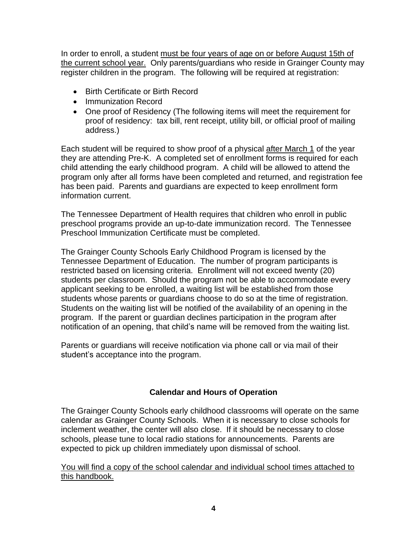In order to enroll, a student must be four years of age on or before August 15th of the current school year. Only parents/guardians who reside in Grainger County may register children in the program. The following will be required at registration:

- Birth Certificate or Birth Record
- Immunization Record
- One proof of Residency (The following items will meet the requirement for proof of residency: tax bill, rent receipt, utility bill, or official proof of mailing address.)

Each student will be required to show proof of a physical after March 1 of the year they are attending Pre-K. A completed set of enrollment forms is required for each child attending the early childhood program. A child will be allowed to attend the program only after all forms have been completed and returned, and registration fee has been paid. Parents and guardians are expected to keep enrollment form information current.

The Tennessee Department of Health requires that children who enroll in public preschool programs provide an up-to-date immunization record. The Tennessee Preschool Immunization Certificate must be completed.

The Grainger County Schools Early Childhood Program is licensed by the Tennessee Department of Education. The number of program participants is restricted based on licensing criteria. Enrollment will not exceed twenty (20) students per classroom. Should the program not be able to accommodate every applicant seeking to be enrolled, a waiting list will be established from those students whose parents or guardians choose to do so at the time of registration. Students on the waiting list will be notified of the availability of an opening in the program. If the parent or guardian declines participation in the program after notification of an opening, that child's name will be removed from the waiting list.

Parents or guardians will receive notification via phone call or via mail of their student's acceptance into the program.

# **Calendar and Hours of Operation**

The Grainger County Schools early childhood classrooms will operate on the same calendar as Grainger County Schools. When it is necessary to close schools for inclement weather, the center will also close. If it should be necessary to close schools, please tune to local radio stations for announcements. Parents are expected to pick up children immediately upon dismissal of school.

You will find a copy of the school calendar and individual school times attached to this handbook.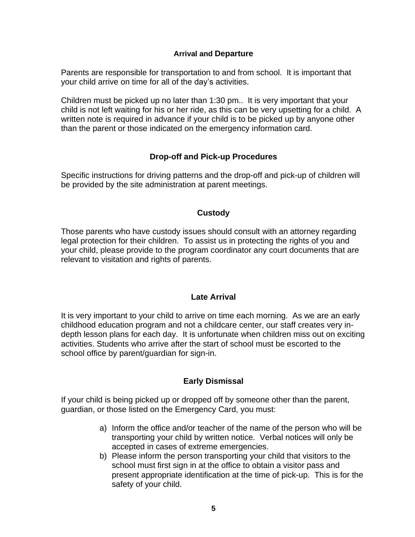#### **Arrival and Departure**

Parents are responsible for transportation to and from school. It is important that your child arrive on time for all of the day's activities.

Children must be picked up no later than 1:30 pm.. It is very important that your child is not left waiting for his or her ride, as this can be very upsetting for a child. A written note is required in advance if your child is to be picked up by anyone other than the parent or those indicated on the emergency information card.

### **Drop-off and Pick-up Procedures**

Specific instructions for driving patterns and the drop-off and pick-up of children will be provided by the site administration at parent meetings.

#### **Custody**

Those parents who have custody issues should consult with an attorney regarding legal protection for their children. To assist us in protecting the rights of you and your child, please provide to the program coordinator any court documents that are relevant to visitation and rights of parents.

#### **Late Arrival**

It is very important to your child to arrive on time each morning. As we are an early childhood education program and not a childcare center, our staff creates very indepth lesson plans for each day. It is unfortunate when children miss out on exciting activities. Students who arrive after the start of school must be escorted to the school office by parent/guardian for sign-in.

# **Early Dismissal**

If your child is being picked up or dropped off by someone other than the parent, guardian, or those listed on the Emergency Card, you must:

- a) Inform the office and/or teacher of the name of the person who will be transporting your child by written notice. Verbal notices will only be accepted in cases of extreme emergencies.
- b) Please inform the person transporting your child that visitors to the school must first sign in at the office to obtain a visitor pass and present appropriate identification at the time of pick-up. This is for the safety of your child.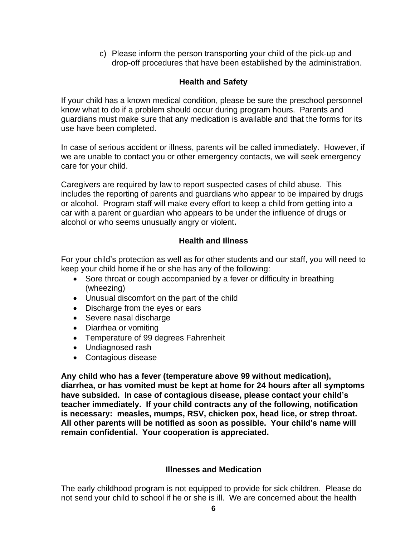c) Please inform the person transporting your child of the pick-up and drop-off procedures that have been established by the administration.

# **Health and Safety**

If your child has a known medical condition, please be sure the preschool personnel know what to do if a problem should occur during program hours. Parents and guardians must make sure that any medication is available and that the forms for its use have been completed.

In case of serious accident or illness, parents will be called immediately. However, if we are unable to contact you or other emergency contacts, we will seek emergency care for your child.

Caregivers are required by law to report suspected cases of child abuse. This includes the reporting of parents and guardians who appear to be impaired by drugs or alcohol. Program staff will make every effort to keep a child from getting into a car with a parent or guardian who appears to be under the influence of drugs or alcohol or who seems unusually angry or violent**.**

### **Health and Illness**

For your child's protection as well as for other students and our staff, you will need to keep your child home if he or she has any of the following:

- Sore throat or cough accompanied by a fever or difficulty in breathing (wheezing)
- Unusual discomfort on the part of the child
- Discharge from the eyes or ears
- Severe nasal discharge
- Diarrhea or vomiting
- Temperature of 99 degrees Fahrenheit
- Undiagnosed rash
- Contagious disease

**Any child who has a fever (temperature above 99 without medication), diarrhea, or has vomited must be kept at home for 24 hours after all symptoms have subsided. In case of contagious disease, please contact your child's teacher immediately. If your child contracts any of the following, notification is necessary: measles, mumps, RSV, chicken pox, head lice, or strep throat. All other parents will be notified as soon as possible. Your child's name will remain confidential. Your cooperation is appreciated.**

#### **Illnesses and Medication**

The early childhood program is not equipped to provide for sick children. Please do not send your child to school if he or she is ill. We are concerned about the health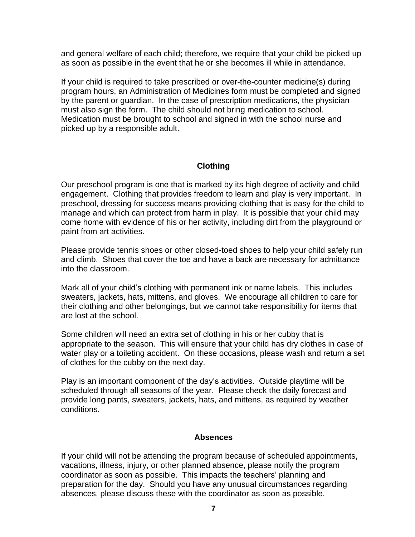and general welfare of each child; therefore, we require that your child be picked up as soon as possible in the event that he or she becomes ill while in attendance.

If your child is required to take prescribed or over-the-counter medicine(s) during program hours, an Administration of Medicines form must be completed and signed by the parent or guardian. In the case of prescription medications, the physician must also sign the form. The child should not bring medication to school. Medication must be brought to school and signed in with the school nurse and picked up by a responsible adult.

### **Clothing**

Our preschool program is one that is marked by its high degree of activity and child engagement. Clothing that provides freedom to learn and play is very important. In preschool, dressing for success means providing clothing that is easy for the child to manage and which can protect from harm in play. It is possible that your child may come home with evidence of his or her activity, including dirt from the playground or paint from art activities.

Please provide tennis shoes or other closed-toed shoes to help your child safely run and climb. Shoes that cover the toe and have a back are necessary for admittance into the classroom.

Mark all of your child's clothing with permanent ink or name labels. This includes sweaters, jackets, hats, mittens, and gloves. We encourage all children to care for their clothing and other belongings, but we cannot take responsibility for items that are lost at the school.

Some children will need an extra set of clothing in his or her cubby that is appropriate to the season. This will ensure that your child has dry clothes in case of water play or a toileting accident. On these occasions, please wash and return a set of clothes for the cubby on the next day.

Play is an important component of the day's activities. Outside playtime will be scheduled through all seasons of the year. Please check the daily forecast and provide long pants, sweaters, jackets, hats, and mittens, as required by weather conditions.

#### **Absences**

If your child will not be attending the program because of scheduled appointments, vacations, illness, injury, or other planned absence, please notify the program coordinator as soon as possible. This impacts the teachers' planning and preparation for the day. Should you have any unusual circumstances regarding absences, please discuss these with the coordinator as soon as possible.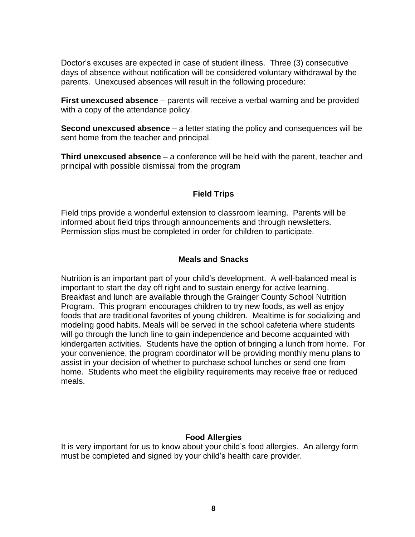Doctor's excuses are expected in case of student illness. Three (3) consecutive days of absence without notification will be considered voluntary withdrawal by the parents. Unexcused absences will result in the following procedure:

**First unexcused absence** – parents will receive a verbal warning and be provided with a copy of the attendance policy.

**Second unexcused absence** – a letter stating the policy and consequences will be sent home from the teacher and principal.

**Third unexcused absence** – a conference will be held with the parent, teacher and principal with possible dismissal from the program

### **Field Trips**

Field trips provide a wonderful extension to classroom learning. Parents will be informed about field trips through announcements and through newsletters. Permission slips must be completed in order for children to participate.

#### **Meals and Snacks**

Nutrition is an important part of your child's development. A well-balanced meal is important to start the day off right and to sustain energy for active learning. Breakfast and lunch are available through the Grainger County School Nutrition Program. This program encourages children to try new foods, as well as enjoy foods that are traditional favorites of young children. Mealtime is for socializing and modeling good habits. Meals will be served in the school cafeteria where students will go through the lunch line to gain independence and become acquainted with kindergarten activities. Students have the option of bringing a lunch from home. For your convenience, the program coordinator will be providing monthly menu plans to assist in your decision of whether to purchase school lunches or send one from home. Students who meet the eligibility requirements may receive free or reduced meals.

# **Food Allergies**

It is very important for us to know about your child's food allergies. An allergy form must be completed and signed by your child's health care provider.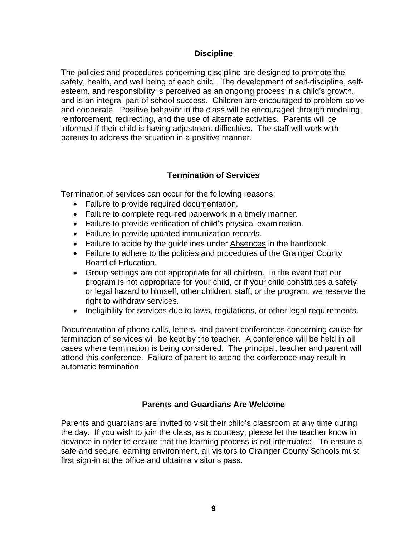#### **Discipline**

The policies and procedures concerning discipline are designed to promote the safety, health, and well being of each child. The development of self-discipline, selfesteem, and responsibility is perceived as an ongoing process in a child's growth, and is an integral part of school success. Children are encouraged to problem-solve and cooperate. Positive behavior in the class will be encouraged through modeling, reinforcement, redirecting, and the use of alternate activities. Parents will be informed if their child is having adjustment difficulties. The staff will work with parents to address the situation in a positive manner.

# **Termination of Services**

Termination of services can occur for the following reasons:

- Failure to provide required documentation.
- Failure to complete required paperwork in a timely manner.
- Failure to provide verification of child's physical examination.
- Failure to provide updated immunization records.
- Failure to abide by the guidelines under Absences in the handbook.
- Failure to adhere to the policies and procedures of the Grainger County Board of Education.
- Group settings are not appropriate for all children. In the event that our program is not appropriate for your child, or if your child constitutes a safety or legal hazard to himself, other children, staff, or the program, we reserve the right to withdraw services.
- Ineligibility for services due to laws, regulations, or other legal requirements.

Documentation of phone calls, letters, and parent conferences concerning cause for termination of services will be kept by the teacher. A conference will be held in all cases where termination is being considered. The principal, teacher and parent will attend this conference. Failure of parent to attend the conference may result in automatic termination.

# **Parents and Guardians Are Welcome**

Parents and guardians are invited to visit their child's classroom at any time during the day. If you wish to join the class, as a courtesy, please let the teacher know in advance in order to ensure that the learning process is not interrupted. To ensure a safe and secure learning environment, all visitors to Grainger County Schools must first sign-in at the office and obtain a visitor's pass.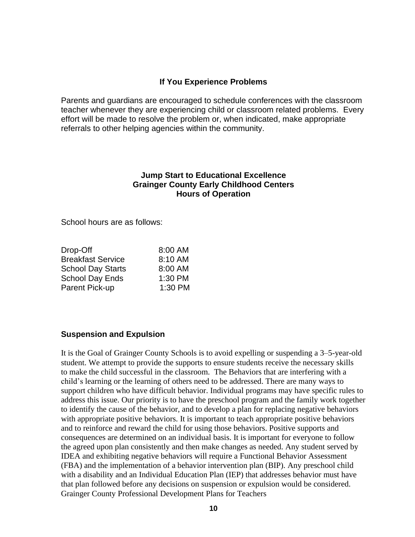#### **If You Experience Problems**

Parents and guardians are encouraged to schedule conferences with the classroom teacher whenever they are experiencing child or classroom related problems. Every effort will be made to resolve the problem or, when indicated, make appropriate referrals to other helping agencies within the community.

#### **Jump Start to Educational Excellence Grainger County Early Childhood Centers Hours of Operation**

School hours are as follows:

| 8:00 AM |
|---------|
| 8:10 AM |
| 8:00 AM |
| 1:30 PM |
| 1:30 PM |
|         |

#### **Suspension and Expulsion**

It is the Goal of Grainger County Schools is to avoid expelling or suspending a 3–5-year-old student. We attempt to provide the supports to ensure students receive the necessary skills to make the child successful in the classroom. The Behaviors that are interfering with a child's learning or the learning of others need to be addressed. There are many ways to support children who have difficult behavior. Individual programs may have specific rules to address this issue. Our priority is to have the preschool program and the family work together to identify the cause of the behavior, and to develop a plan for replacing negative behaviors with appropriate positive behaviors. It is important to teach appropriate positive behaviors and to reinforce and reward the child for using those behaviors. Positive supports and consequences are determined on an individual basis. It is important for everyone to follow the agreed upon plan consistently and then make changes as needed. Any student served by IDEA and exhibiting negative behaviors will require a Functional Behavior Assessment (FBA) and the implementation of a behavior intervention plan (BIP). Any preschool child with a disability and an Individual Education Plan (IEP) that addresses behavior must have that plan followed before any decisions on suspension or expulsion would be considered. Grainger County Professional Development Plans for Teachers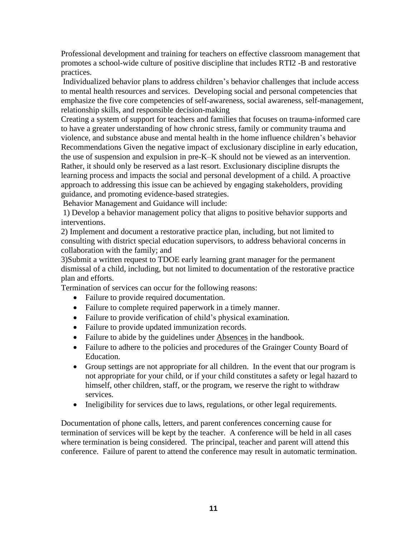Professional development and training for teachers on effective classroom management that promotes a school-wide culture of positive discipline that includes RTI2 -B and restorative practices.

Individualized behavior plans to address children's behavior challenges that include access to mental health resources and services. Developing social and personal competencies that emphasize the five core competencies of self-awareness, social awareness, self-management, relationship skills, and responsible decision-making

Creating a system of support for teachers and families that focuses on trauma-informed care to have a greater understanding of how chronic stress, family or community trauma and violence, and substance abuse and mental health in the home influence children's behavior Recommendations Given the negative impact of exclusionary discipline in early education, the use of suspension and expulsion in pre-K–K should not be viewed as an intervention. Rather, it should only be reserved as a last resort. Exclusionary discipline disrupts the learning process and impacts the social and personal development of a child. A proactive approach to addressing this issue can be achieved by engaging stakeholders, providing guidance, and promoting evidence-based strategies.

Behavior Management and Guidance will include:

1) Develop a behavior management policy that aligns to positive behavior supports and interventions.

2) Implement and document a restorative practice plan, including, but not limited to consulting with district special education supervisors, to address behavioral concerns in collaboration with the family; and

3)Submit a written request to TDOE early learning grant manager for the permanent dismissal of a child, including, but not limited to documentation of the restorative practice plan and efforts.

Termination of services can occur for the following reasons:

- Failure to provide required documentation.
- Failure to complete required paperwork in a timely manner.
- Failure to provide verification of child's physical examination.
- Failure to provide updated immunization records.
- Failure to abide by the guidelines under Absences in the handbook.
- Failure to adhere to the policies and procedures of the Grainger County Board of Education.
- Group settings are not appropriate for all children. In the event that our program is not appropriate for your child, or if your child constitutes a safety or legal hazard to himself, other children, staff, or the program, we reserve the right to withdraw services.
- Ineligibility for services due to laws, regulations, or other legal requirements.

Documentation of phone calls, letters, and parent conferences concerning cause for termination of services will be kept by the teacher. A conference will be held in all cases where termination is being considered. The principal, teacher and parent will attend this conference. Failure of parent to attend the conference may result in automatic termination.